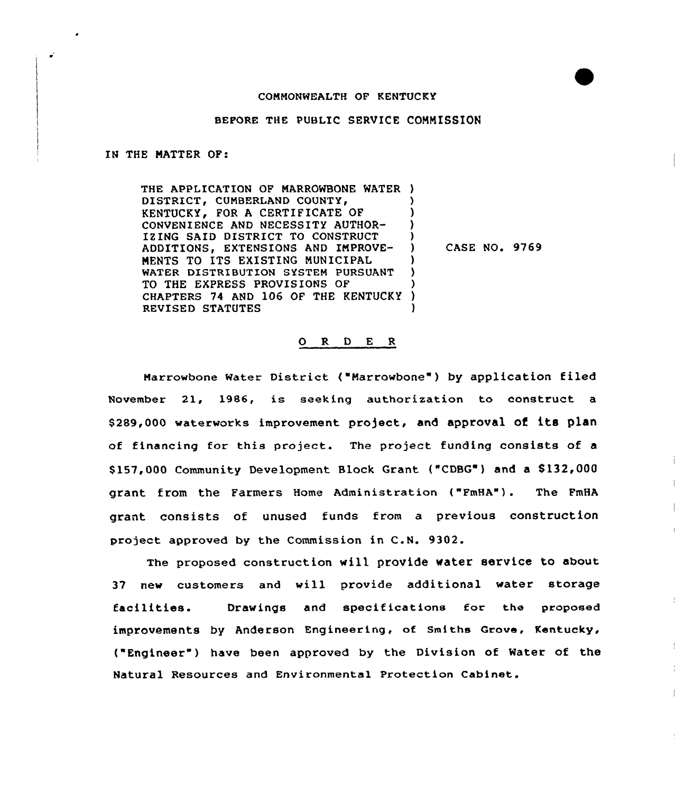### COMMONWEALTH OF KENTUCKY

## BEFORE THE PUBLIC SERVICE CONNISSION

### IN THE NATTER OF:

 $\mathbf{r}$ 

THE APPLICATION OF MARROWBONE WATER ) DISTRICT, CUMBERLAND COUNTY. KENTUCKY, FOR A CERTIFICATE OF CONVENIENCE AND NECESSITY AUTHOR-IZING SAID DISTRICT TO CONSTRUCT ADDITIONS, EXTENSIONS AND IMPROVE-NENTS TO ITS EXISTING MUNICIPAL WATER DISTRIBUTION SYSTEM PURSUANT TO THE EXPRESS PROVISIONS OF CHAPTERS 74 AND 106 OF THE KENTUCKY ) REVISED STATUTES ) ) )  $\frac{1}{1}$ ) ) ) )

) CASE NO. 9769

### 0 R <sup>D</sup> <sup>E</sup> <sup>R</sup>

Marrowbone Water District ("Marrowbone" ) by application filed November 21< 1986, is seeking authorization to construct a \$289,000 waterworks improvement project, and approval of its plan of financing for this project. The project funding consists of a \$ 157,000 Community Development Block Grant ("CDBG") and a \$ 132,000 grant from the Farmers Home Administration ("FmHA"). The FmHA grant consists of unused funds from a previous construction project approved by the Commission in C.N. 9302.

The proposed construction will provide water service to about 37 new customers and will provide additional water storage facilities. Drawings and specifications for the proposed improvements by Anderson Engineering, of Smiths Grove, Kentucky, ("Engineer") have been approved by the Division of Water of the Natural Resources and Environmental Protection Cabinet.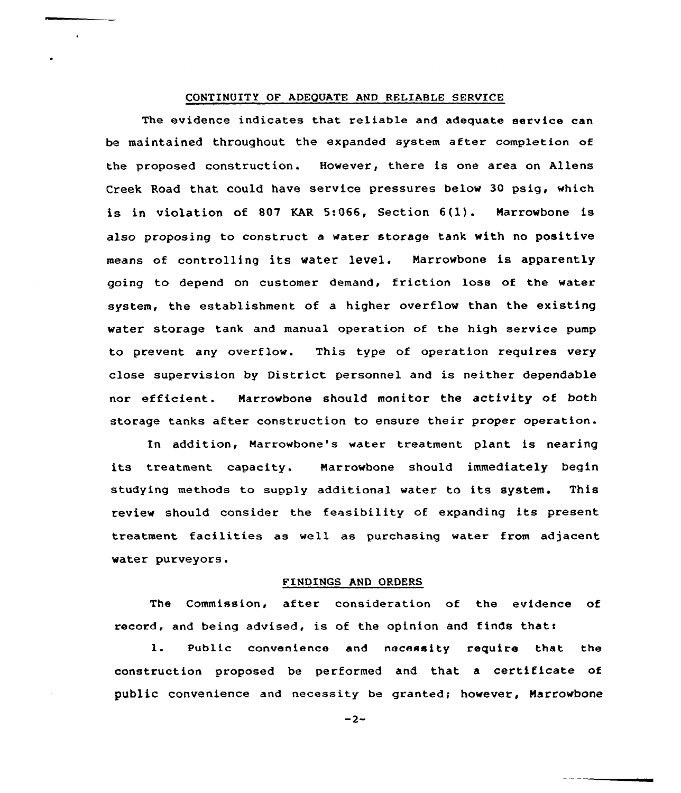# CONTINUITY QF ADEQUATE AND RELIABLE SERVICE

The evidence indicates that reliable and adequate service can be maintained throughout the expanded system after completion of the proposed construction. However, there is one area on Aliens Creek Road that could have service pressures below 30 psig, which is in violation of 807 KAR 5:066, Section 6(1). Marrowbone is also proposing to construct a water storage tank with no positive means of controlling its water level. Narrowbone is apparently going to depend on customer demand, friction loss of the water system, the establishment of a higher overflow than the existing water storage tank and manual operation of the high service pump to prevent any overflow. This type of operation requires very close supervision by District personnel and is neither dependable nor efficient. Marrowbone should monitor the activity of both storage tanks after construction to ensure their proper operation.

In addition, Marrowbone's water treatment plant is nearing its treatment capacity. Marrowbone should immediately begin studying methods to supply additional water to its system. This review should consider the feasibility of expanding its present treatment facilities as well as purchasing water from adjacent water purveyors.

# FINDINGS AND ORDERS

The Commission, after consideration of the evidence of record, and being advised, is of the opinion and finds thats

l. Public convenience and necessity require that the construction proposed be performed and that <sup>a</sup> certificate of public convenience and necessity be granted; however, Marrowbone

 $-2-$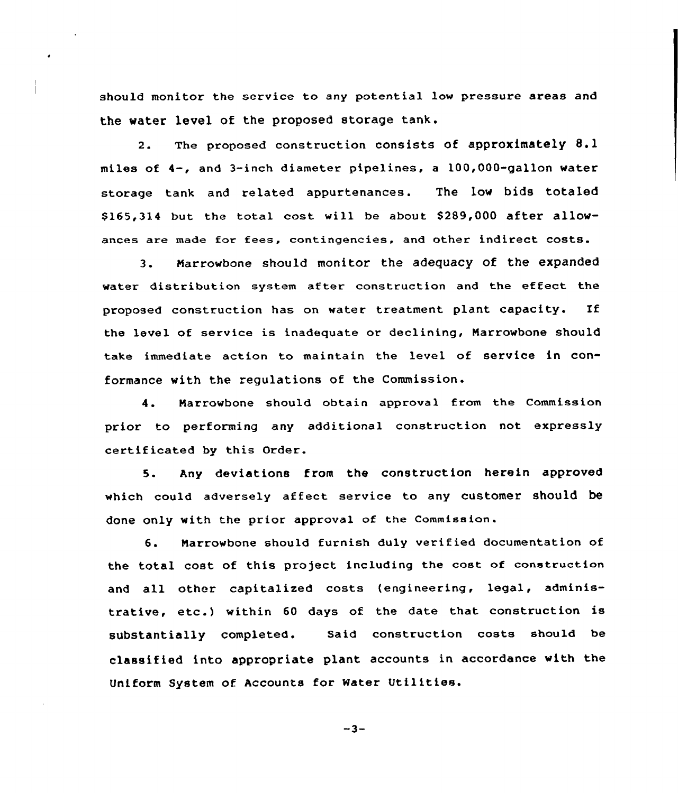should monitor the service to any potential low pressure areas and the water level of the proposed storage tank.

2. The proposed construction consists of approximately 8.1 miles of 4-, and 3-inch diameter pipelines, <sup>a</sup> 100,000-gallon water storage tank and related appurtenances. The low bids totaled \$165,314 but the total cost will be about S289,000 after allowances are made for fees, contingencies, and other indirect costs.

3. Narrowbone should monitor the adequacy of the expanded water distribution system after construction and the effect the proposed construction has on water treatment plant capacity. If the level of service is inadequate or declining, Narrowbone should take immediate action to maintain the level of service in conformance with the regulations of the Commission.

4. Narrowbone should obtain approval from the Commission prior to performing any additional construction not expressly certificated by this Order.

S. Any deviations from the construction herein approved which could adversely affect service to any customer should be done only with the prior approval of the Commission.

6. Narrowbone should furnish duly verified documentation of the total cost of this pro)ect including the cost of construction and all other capitalized costs (engineering, legal, administrative, etc.) within <sup>60</sup> days of the date that construction is substantially completed. Said construction costs should be classified into appropriate plant accounts in accordance with the Uniform System of Accounts for Mater Utilities.

 $-3-$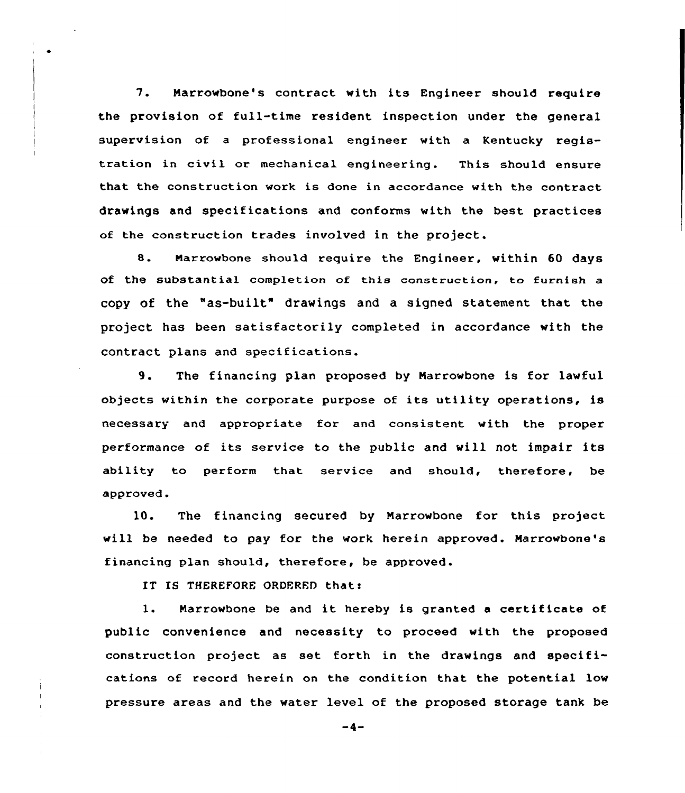7. Narrowbone's contract with its Engineer should require the provision of full-time resident inspection under the general supervision of a professional engineer with a Kentucky registration in civil or mechanical engineering. This should ensure that the construction work is done in accordance with the contract drawings and specifications and conforms with the best practices of the construction trades involved in the project.

8. Marrowbone should require the Engineer, within 60 days of the substantial completion of this construction, to furnish a copy of the "as-built" drawings and a signed statement that the project has been satisfactorily completed in accordance with the contract plans and specifications.

9. The financing plan proposed by Narrowbone is for lawful objects within the corporate purpose of its utility operations, is necessary and appropriate for and consistent with the proper performance of its service to the public and will not impair its ability to perform that service and should, therefore, be approved

10. The financing secured by Narrowbone for this project will be needed to pay for the work herein approved. Narrowbone's financing plan should, therefore, be approved.

IT IS THEREFORE ORDERED that:

1. Narrowbone be and it hereby is granted <sup>a</sup> certificate of public convenience and necessity to proceed with the proposed construction project as set forth in the drawings and specifications of record herein on the condition that the potential low pressure areas and the water level of the proposed storage tank be

 $-4-$